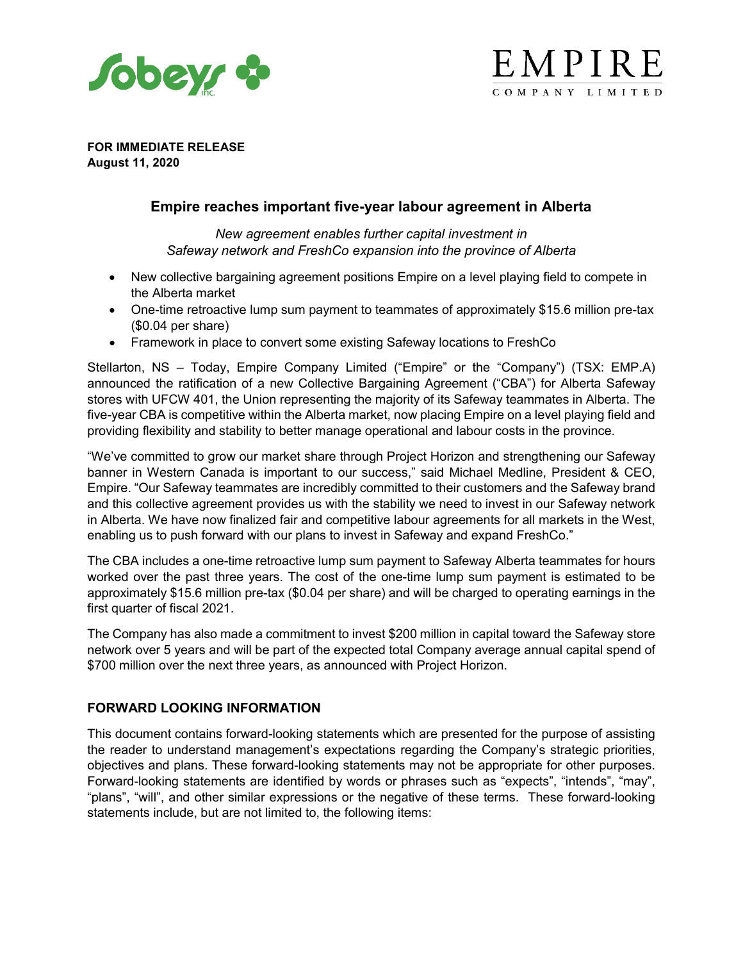



**FOR IMMEDIATE RELEASE August 11, 2020**

# **Empire reaches important five-year labour agreement in Alberta**

*New agreement enables further capital investment in Safeway network and FreshCo expansion into the province of Alberta*

- New collective bargaining agreement positions Empire on a level playing field to compete in the Alberta market
- One-time retroactive lump sum payment to teammates of approximately \$15.6 million pre-tax (\$0.04 per share)
- Framework in place to convert some existing Safeway locations to FreshCo

Stellarton, NS – Today, Empire Company Limited ("Empire" or the "Company") (TSX: EMP.A) announced the ratification of a new Collective Bargaining Agreement ("CBA") for Alberta Safeway stores with UFCW 401, the Union representing the majority of its Safeway teammates in Alberta. The five-year CBA is competitive within the Alberta market, now placing Empire on a level playing field and providing flexibility and stability to better manage operational and labour costs in the province.

"We've committed to grow our market share through Project Horizon and strengthening our Safeway banner in Western Canada is important to our success," said Michael Medline, President & CEO, Empire. "Our Safeway teammates are incredibly committed to their customers and the Safeway brand and this collective agreement provides us with the stability we need to invest in our Safeway network in Alberta. We have now finalized fair and competitive labour agreements for all markets in the West, enabling us to push forward with our plans to invest in Safeway and expand FreshCo."

The CBA includes a one-time retroactive lump sum payment to Safeway Alberta teammates for hours worked over the past three years. The cost of the one-time lump sum payment is estimated to be approximately \$15.6 million pre-tax (\$0.04 per share) and will be charged to operating earnings in the first quarter of fiscal 2021.

The Company has also made a commitment to invest \$200 million in capital toward the Safeway store network over 5 years and will be part of the expected total Company average annual capital spend of \$700 million over the next three years, as announced with Project Horizon.

### **FORWARD LOOKING INFORMATION**

This document contains forward-looking statements which are presented for the purpose of assisting the reader to understand management's expectations regarding the Company's strategic priorities, objectives and plans. These forward-looking statements may not be appropriate for other purposes. Forward-looking statements are identified by words or phrases such as "expects", "intends", "may", "plans", "will", and other similar expressions or the negative of these terms. These forward-looking statements include, but are not limited to, the following items: